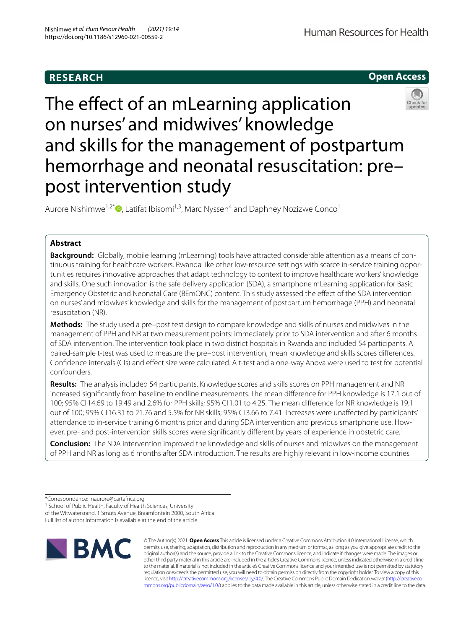# **RESEARCH**

**Open Access**

# The effect of an mLearning application on nurses' and midwives' knowledge and skills for the management of postpartum hemorrhage and neonatal resuscitation: pre– post intervention study

Aurore Nishimwe<sup>1[,](http://orcid.org/0000-0002-8019-2561)2\*</sup><sup>®</sup>, Latifat Ibisomi<sup>1,3</sup>, Marc Nyssen<sup>4</sup> and Daphney Nozizwe Conco<sup>1</sup>

# **Abstract**

**Background:** Globally, mobile learning (mLearning) tools have attracted considerable attention as a means of continuous training for healthcare workers. Rwanda like other low-resource settings with scarce in-service training opportunities requires innovative approaches that adapt technology to context to improve healthcare workers' knowledge and skills. One such innovation is the safe delivery application (SDA), a smartphone mLearning application for Basic Emergency Obstetric and Neonatal Care (BEmONC) content. This study assessed the efect of the SDA intervention on nurses' and midwives' knowledge and skills for the management of postpartum hemorrhage (PPH) and neonatal resuscitation (NR).

**Methods:** The study used a pre–post test design to compare knowledge and skills of nurses and midwives in the management of PPH and NR at two measurement points: immediately prior to SDA intervention and after 6 months of SDA intervention. The intervention took place in two district hospitals in Rwanda and included 54 participants. A paired-sample t-test was used to measure the pre–post intervention, mean knowledge and skills scores diferences. Confdence intervals (CIs) and efect size were calculated. A t-test and a one-way Anova were used to test for potential confounders.

**Results:** The analysis included 54 participants. Knowledge scores and skills scores on PPH management and NR increased signifcantly from baseline to endline measurements. The mean diference for PPH knowledge is 17.1 out of 100; 95% CI 14.69 to 19.49 and 2.6% for PPH skills; 95% CI 1.01 to 4.25. The mean diference for NR knowledge is 19.1 out of 100; 95% CI 16.31 to 21.76 and 5.5% for NR skills; 95% CI 3.66 to 7.41. Increases were unafected by participants' attendance to in-service training 6 months prior and during SDA intervention and previous smartphone use. However, pre- and post-intervention skills scores were signifcantly diferent by years of experience in obstetric care.

**Conclusion:** The SDA intervention improved the knowledge and skills of nurses and midwives on the management of PPH and NR as long as 6 months after SDA introduction. The results are highly relevant in low-income countries

<sup>1</sup> School of Public Health, Faculty of Health Sciences, University of the Witwatersrand, 1 Smuts Avenue, Braamfontein 2000, South Africa Full list of author information is available at the end of the article



© The Author(s) 2021. **Open Access** This article is licensed under a Creative Commons Attribution 4.0 International License, which permits use, sharing, adaptation, distribution and reproduction in any medium or format, as long as you give appropriate credit to the original author(s) and the source, provide a link to the Creative Commons licence, and indicate if changes were made. The images or other third party material in this article are included in the article's Creative Commons licence, unless indicated otherwise in a credit line to the material. If material is not included in the article's Creative Commons licence and your intended use is not permitted by statutory regulation or exceeds the permitted use, you will need to obtain permission directly from the copyright holder. To view a copy of this licence, visit [http://creativecommons.org/licenses/by/4.0/.](http://creativecommons.org/licenses/by/4.0/) The Creative Commons Public Domain Dedication waiver ([http://creativeco](http://creativecommons.org/publicdomain/zero/1.0/) [mmons.org/publicdomain/zero/1.0/](http://creativecommons.org/publicdomain/zero/1.0/)) applies to the data made available in this article, unless otherwise stated in a credit line to the data.

<sup>\*</sup>Correspondence: naurore@cartafrica.org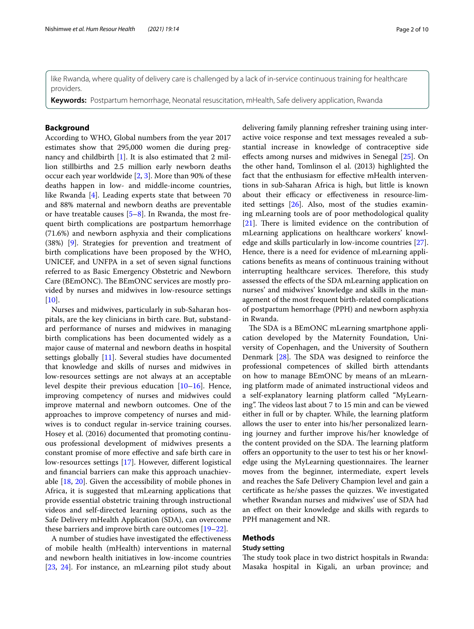like Rwanda, where quality of delivery care is challenged by a lack of in-service continuous training for healthcare providers.

**Keywords:** Postpartum hemorrhage, Neonatal resuscitation, mHealth, Safe delivery application, Rwanda

# **Background**

According to WHO, Global numbers from the year 2017 estimates show that 295,000 women die during pregnancy and childbirth [\[1](#page-8-0)]. It is also estimated that 2 million stillbirths and 2.5 million early newborn deaths occur each year worldwide [[2,](#page-8-1) [3](#page-8-2)]. More than 90% of these deaths happen in low- and middle-income countries, like Rwanda [[4\]](#page-8-3). Leading experts state that between 70 and 88% maternal and newborn deaths are preventable or have treatable causes [[5–](#page-8-4)[8\]](#page-8-5). In Rwanda, the most frequent birth complications are postpartum hemorrhage (71.6%) and newborn asphyxia and their complications (38%) [\[9](#page-9-0)]. Strategies for prevention and treatment of birth complications have been proposed by the WHO, UNICEF, and UNFPA in a set of seven signal functions referred to as Basic Emergency Obstetric and Newborn Care (BEmONC). The BEmONC services are mostly provided by nurses and midwives in low-resource settings  $[10]$  $[10]$ .

Nurses and midwives, particularly in sub-Saharan hospitals, are the key clinicians in birth care. But, substandard performance of nurses and midwives in managing birth complications has been documented widely as a major cause of maternal and newborn deaths in hospital settings globally [\[11\]](#page-9-2). Several studies have documented that knowledge and skills of nurses and midwives in low-resources settings are not always at an acceptable level despite their previous education [\[10](#page-9-1)[–16\]](#page-9-3). Hence, improving competency of nurses and midwives could improve maternal and newborn outcomes. One of the approaches to improve competency of nurses and midwives is to conduct regular in-service training courses. Hosey et al. (2016) documented that promoting continuous professional development of midwives presents a constant promise of more efective and safe birth care in low-resources settings [\[17](#page-9-4)]. However, diferent logistical and fnancial barriers can make this approach unachievable [\[18](#page-9-5), [20](#page-9-6)]. Given the accessibility of mobile phones in Africa, it is suggested that mLearning applications that provide essential obstetric training through instructional videos and self-directed learning options, such as the Safe Delivery mHealth Application (SDA), can overcome these barriers and improve birth care outcomes [[19](#page-9-7)[–22](#page-9-8)].

A number of studies have investigated the efectiveness of mobile health (mHealth) interventions in maternal and newborn health initiatives in low-income countries [[23,](#page-9-9) [24](#page-9-10)]. For instance, an mLearning pilot study about delivering family planning refresher training using interactive voice response and text messages revealed a substantial increase in knowledge of contraceptive side efects among nurses and midwives in Senegal [[25\]](#page-9-11). On the other hand, Tomlinson el al. (2013) highlighted the fact that the enthusiasm for efective mHealth interventions in sub-Saharan Africa is high, but little is known about their efficacy or effectiveness in resource-limited settings [\[26\]](#page-9-12). Also, most of the studies examin-

ing mLearning tools are of poor methodological quality  $[21]$  $[21]$ . There is limited evidence on the contribution of mLearning applications on healthcare workers' knowledge and skills particularly in low-income countries [\[27](#page-9-14)]. Hence, there is a need for evidence of mLearning applications benefts as means of continuous training without interrupting healthcare services. Therefore, this study assessed the efects of the SDA mLearning application on nurses' and midwives' knowledge and skills in the management of the most frequent birth-related complications of postpartum hemorrhage (PPH) and newborn asphyxia in Rwanda.

The SDA is a BEmONC mLearning smartphone application developed by the Maternity Foundation, University of Copenhagen, and the University of Southern Denmark  $[28]$  $[28]$ . The SDA was designed to reinforce the professional competences of skilled birth attendants on how to manage BEmONC by means of an mLearning platform made of animated instructional videos and a self-explanatory learning platform called "MyLearning". The videos last about 7 to 15 min and can be viewed either in full or by chapter. While, the learning platform allows the user to enter into his/her personalized learning journey and further improve his/her knowledge of the content provided on the SDA. The learning platform ofers an opportunity to the user to test his or her knowledge using the MyLearning questionnaires. The learner moves from the beginner, intermediate, expert levels and reaches the Safe Delivery Champion level and gain a certifcate as he/she passes the quizzes. We investigated whether Rwandan nurses and midwives' use of SDA had an efect on their knowledge and skills with regards to PPH management and NR.

#### **Methods**

#### **Study setting**

The study took place in two district hospitals in Rwanda: Masaka hospital in Kigali, an urban province; and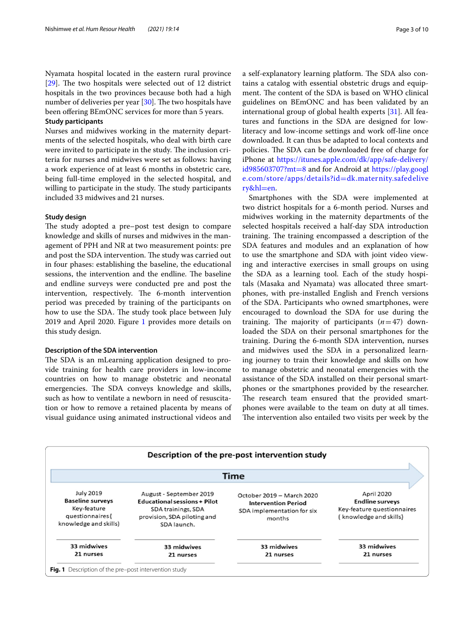Nyamata hospital located in the eastern rural province [ $29$ ]. The two hospitals were selected out of 12 district hospitals in the two provinces because both had a high number of deliveries per year  $[30]$  $[30]$ . The two hospitals have been offering BEmONC services for more than 5 years.

# **Study participants**

Nurses and midwives working in the maternity departments of the selected hospitals, who deal with birth care were invited to participate in the study. The inclusion criteria for nurses and midwives were set as follows: having a work experience of at least 6 months in obstetric care, being full-time employed in the selected hospital, and willing to participate in the study. The study participants included 33 midwives and 21 nurses.

#### **Study design**

The study adopted a pre–post test design to compare knowledge and skills of nurses and midwives in the management of PPH and NR at two measurement points: pre and post the SDA intervention. The study was carried out in four phases: establishing the baseline, the educational sessions, the intervention and the endline. The baseline and endline surveys were conducted pre and post the intervention, respectively. The 6-month intervention period was preceded by training of the participants on how to use the SDA. The study took place between July 2019 and April 2020. Figure [1](#page-2-0) provides more details on this study design.

#### **Description of the SDA intervention**

The SDA is an mLearning application designed to provide training for health care providers in low-income countries on how to manage obstetric and neonatal emergencies. The SDA conveys knowledge and skills, such as how to ventilate a newborn in need of resuscitation or how to remove a retained placenta by means of visual guidance using animated instructional videos and a self-explanatory learning platform. The SDA also contains a catalog with essential obstetric drugs and equipment. The content of the SDA is based on WHO clinical guidelines on BEmONC and has been validated by an international group of global health experts [\[31\]](#page-9-18). All features and functions in the SDA are designed for lowliteracy and low-income settings and work off-line once downloaded. It can thus be adapted to local contexts and policies. The SDA can be downloaded free of charge for iPhone at [https://itunes.apple.com/dk/app/safe-delivery/](https://itunes.apple.com/dk/app/safe-delivery/id985603707?mt=8) [id985603707?mt](https://itunes.apple.com/dk/app/safe-delivery/id985603707?mt=8)=8 and for Android at [https://play.googl](https://play.google.com/store/apps/details?id=dk.maternity.safedelivery&hl=en) [e.com/store/apps/details?id](https://play.google.com/store/apps/details?id=dk.maternity.safedelivery&hl=en)=dk.maternity.safedelive [ry&hl](https://play.google.com/store/apps/details?id=dk.maternity.safedelivery&hl=en)=en.

Smartphones with the SDA were implemented at two district hospitals for a 6-month period. Nurses and midwives working in the maternity departments of the selected hospitals received a half-day SDA introduction training. The training encompassed a description of the SDA features and modules and an explanation of how to use the smartphone and SDA with joint video viewing and interactive exercises in small groups on using the SDA as a learning tool. Each of the study hospitals (Masaka and Nyamata) was allocated three smartphones, with pre-installed English and French versions of the SDA. Participants who owned smartphones, were encouraged to download the SDA for use during the training. The majority of participants  $(n=47)$  downloaded the SDA on their personal smartphones for the training. During the 6-month SDA intervention, nurses and midwives used the SDA in a personalized learning journey to train their knowledge and skills on how to manage obstetric and neonatal emergencies with the assistance of the SDA installed on their personal smartphones or the smartphones provided by the researcher. The research team ensured that the provided smartphones were available to the team on duty at all times. The intervention also entailed two visits per week by the

<span id="page-2-0"></span>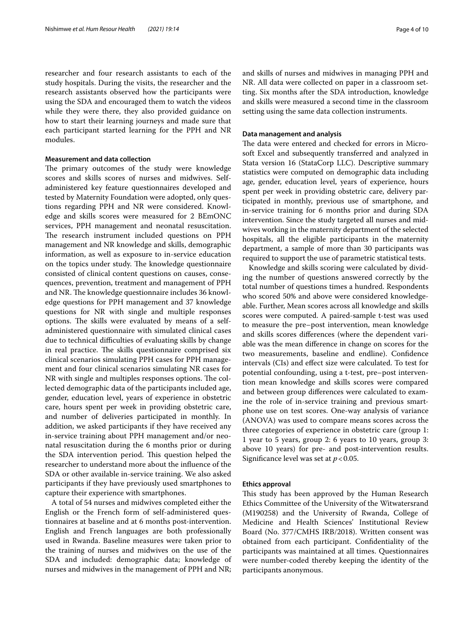researcher and four research assistants to each of the study hospitals. During the visits, the researcher and the research assistants observed how the participants were using the SDA and encouraged them to watch the videos while they were there, they also provided guidance on how to start their learning journeys and made sure that each participant started learning for the PPH and NR modules.

# **Measurement and data collection**

The primary outcomes of the study were knowledge scores and skills scores of nurses and midwives. Selfadministered key feature questionnaires developed and tested by Maternity Foundation were adopted, only questions regarding PPH and NR were considered. Knowledge and skills scores were measured for 2 BEmONC services, PPH management and neonatal resuscitation. The research instrument included questions on PPH management and NR knowledge and skills, demographic information, as well as exposure to in-service education on the topics under study. The knowledge questionnaire consisted of clinical content questions on causes, consequences, prevention, treatment and management of PPH and NR. The knowledge questionnaire includes 36 knowledge questions for PPH management and 37 knowledge questions for NR with single and multiple responses options. The skills were evaluated by means of a selfadministered questionnaire with simulated clinical cases due to technical difficulties of evaluating skills by change in real practice. The skills questionnaire comprised six clinical scenarios simulating PPH cases for PPH management and four clinical scenarios simulating NR cases for NR with single and multiples responses options. The collected demographic data of the participants included age, gender, education level, years of experience in obstetric care, hours spent per week in providing obstetric care, and number of deliveries participated in monthly. In addition, we asked participants if they have received any in-service training about PPH management and/or neonatal resuscitation during the 6 months prior or during the SDA intervention period. This question helped the researcher to understand more about the infuence of the SDA or other available in-service training. We also asked participants if they have previously used smartphones to capture their experience with smartphones.

A total of 54 nurses and midwives completed either the English or the French form of self-administered questionnaires at baseline and at 6 months post-intervention. English and French languages are both professionally used in Rwanda. Baseline measures were taken prior to the training of nurses and midwives on the use of the SDA and included: demographic data; knowledge of nurses and midwives in the management of PPH and NR; and skills of nurses and midwives in managing PPH and NR. All data were collected on paper in a classroom setting. Six months after the SDA introduction, knowledge and skills were measured a second time in the classroom setting using the same data collection instruments.

## **Data management and analysis**

The data were entered and checked for errors in Microsoft Excel and subsequently transferred and analyzed in Stata version 16 (StataCorp LLC). Descriptive summary statistics were computed on demographic data including age, gender, education level, years of experience, hours spent per week in providing obstetric care, delivery participated in monthly, previous use of smartphone, and in-service training for 6 months prior and during SDA intervention. Since the study targeted all nurses and midwives working in the maternity department of the selected hospitals, all the eligible participants in the maternity department, a sample of more than 30 participants was required to support the use of parametric statistical tests.

Knowledge and skills scoring were calculated by dividing the number of questions answered correctly by the total number of questions times a hundred. Respondents who scored 50% and above were considered knowledgeable. Further, Mean scores across all knowledge and skills scores were computed. A paired-sample t-test was used to measure the pre–post intervention, mean knowledge and skills scores diferences (where the dependent variable was the mean diference in change on scores for the two measurements, baseline and endline). Confdence intervals (CIs) and efect size were calculated. To test for potential confounding, using a t-test, pre–post intervention mean knowledge and skills scores were compared and between group diferences were calculated to examine the role of in-service training and previous smartphone use on test scores. One-way analysis of variance (ANOVA) was used to compare means scores across the three categories of experience in obstetric care (group 1: 1 year to 5 years, group 2: 6 years to 10 years, group 3: above 10 years) for pre- and post-intervention results. Significance level was set at  $p < 0.05$ .

### **Ethics approval**

This study has been approved by the Human Research Ethics Committee of the University of the Witwatersrand (M190258) and the University of Rwanda, College of Medicine and Health Sciences' Institutional Review Board (No. 377/CMHS IRB/2018). Written consent was obtained from each participant. Confdentiality of the participants was maintained at all times. Questionnaires were number-coded thereby keeping the identity of the participants anonymous.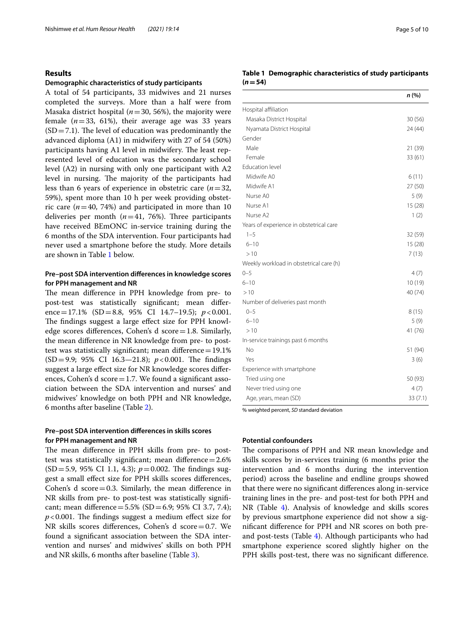### **Results**

#### **Demographic characteristics of study participants**

A total of 54 participants, 33 midwives and 21 nurses completed the surveys. More than a half were from Masaka district hospital ( $n=30$ , 56%), the majority were female  $(n=33, 61\%)$ , their average age was 33 years  $(SD=7.1)$ . The level of education was predominantly the advanced diploma (A1) in midwifery with 27 of 54 (50%) participants having A1 level in midwifery. The least represented level of education was the secondary school level (A2) in nursing with only one participant with A2 level in nursing. The majority of the participants had less than 6 years of experience in obstetric care (*n*=32, 59%), spent more than 10 h per week providing obstetric care  $(n=40, 74%)$  and participated in more than 10 deliveries per month  $(n=41, 76%)$ . Three participants have received BEmONC in-service training during the 6 months of the SDA intervention. Four participants had never used a smartphone before the study. More details are shown in Table [1](#page-4-0) below.

# **Pre–post SDA intervention diferences in knowledge scores for PPH management and NR**

The mean difference in PPH knowledge from pre- to post-test was statistically signifcant; mean diference=17.1% (SD=8.8, 95% CI 14.7–19.5); *p*<0.001. The findings suggest a large effect size for PPH knowledge scores diferences, Cohen's d score=1.8. Similarly, the mean diference in NR knowledge from pre- to posttest was statistically significant; mean difference=19.1%  $(SD=9.9; 95\% \text{ CI } 16.3-21.8); p<0.001.$  The findings suggest a large efect size for NR knowledge scores diferences, Cohen's d  $score=1.7$ . We found a significant association between the SDA intervention and nurses' and midwives' knowledge on both PPH and NR knowledge, 6 months after baseline (Table [2\)](#page-5-0).

# **Pre–post SDA intervention diferences in skills scores for PPH management and NR**

The mean difference in PPH skills from pre- to posttest was statistically significant; mean difference=2.6%  $(SD=5.9, 95\% \text{ CI } 1.1, 4.3; p=0.002.$  The findings suggest a small efect size for PPH skills scores diferences, Cohen's  $d$  score=0.3. Similarly, the mean difference in NR skills from pre- to post-test was statistically signifcant; mean difference =  $5.5\%$  (SD =  $6.9$ ; 95% CI 3.7, 7.4);  $p$ <0.001. The findings suggest a medium effect size for NR skills scores diferences, Cohen's d score=0.7. We found a signifcant association between the SDA intervention and nurses' and midwives' skills on both PPH and NR skills, 6 months after baseline (Table [3](#page-5-1)).

# <span id="page-4-0"></span>**Table 1 Demographic characteristics of study participants**   $(n = 54)$

|                                         | n (%)   |
|-----------------------------------------|---------|
| Hospital affiliation                    |         |
| Masaka District Hospital                | 30(56)  |
| Nyamata District Hospital               | 24 (44) |
| Gender                                  |         |
| Male                                    | 21 (39) |
| Female                                  | 33(61)  |
| <b>Education level</b>                  |         |
| Midwife A0                              | 6(11)   |
| Midwife A1                              | 27 (50) |
| Nurse A0                                | 5(9)    |
| Nurse A1                                | 15(28)  |
| Nurse A2                                | 1(2)    |
| Years of experience in obstetrical care |         |
| $1 - 5$                                 | 32 (59) |
| $6 - 10$                                | 15(28)  |
| >10                                     | 7(13)   |
| Weekly workload in obstetrical care (h) |         |
| $0 - 5$                                 | 4(7)    |
| $6 - 10$                                | 10(19)  |
| >10                                     | 40 (74) |
| Number of deliveries past month         |         |
| $0 - 5$                                 | 8(15)   |
| $6 - 10$                                | 5(9)    |
| >10                                     | 41 (76) |
| In-service trainings past 6 months      |         |
| No                                      | 51 (94) |
| Yes                                     | 3(6)    |
| Experience with smartphone              |         |
| Tried using one                         | 50 (93) |
| Never tried using one                   | 4(7)    |
| Age, years, mean (SD)                   | 33(7.1) |

% weighted percent, *SD* standard deviation

# **Potential confounders**

The comparisons of PPH and NR mean knowledge and skills scores by in-services training (6 months prior the intervention and 6 months during the intervention period) across the baseline and endline groups showed that there were no signifcant diferences along in-service training lines in the pre- and post-test for both PPH and NR (Table [4](#page-5-2)). Analysis of knowledge and skills scores by previous smartphone experience did not show a signifcant diference for PPH and NR scores on both preand post-tests (Table [4\)](#page-5-2). Although participants who had smartphone experience scored slightly higher on the PPH skills post-test, there was no signifcant diference.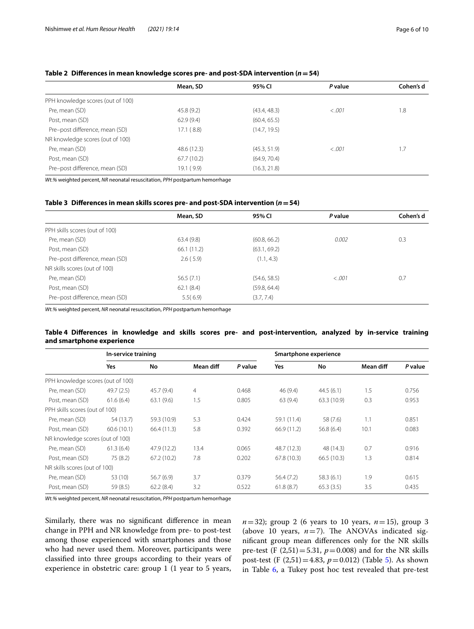# <span id="page-5-0"></span>**Table 2 Diferences in mean knowledge scores pre- and post-SDA intervention (***n***=54)**

|                                   | Mean, SD    | 95% CI       | P value | Cohen's d |
|-----------------------------------|-------------|--------------|---------|-----------|
| PPH knowledge scores (out of 100) |             |              |         |           |
| Pre, mean (SD)                    | 45.8(9.2)   | (43.4, 48.3) | < .001  | 1.8       |
| Post, mean (SD)                   | 62.9(9.4)   | (60.4, 65.5) |         |           |
| Pre-post difference, mean (SD)    | 17.1(8.8)   | (14.7, 19.5) |         |           |
| NR knowledge scores (out of 100)  |             |              |         |           |
| Pre, mean (SD)                    | 48.6 (12.3) | (45.3, 51.9) | < .001  | 1.7       |
| Post, mean (SD)                   | 67.7(10.2)  | (64.9, 70.4) |         |           |
| Pre-post difference, mean (SD)    | 19.1(9.9)   | (16.3, 21.8) |         |           |

*Wt.%* weighted percent, *NR* neonatal resuscitation, *PPH* postpartum hemorrhage

#### <span id="page-5-1"></span>**Table 3 Diferences in mean skills scores pre- and post-SDA intervention (***n***=54)**

|                                | Mean, SD    | 95% CI       | P value | Cohen's d |
|--------------------------------|-------------|--------------|---------|-----------|
| PPH skills scores (out of 100) |             |              |         |           |
| Pre, mean (SD)                 | 63.4(9.8)   | (60.8, 66.2) | 0.002   | 0.3       |
| Post, mean (SD)                | 66.1 (11.2) | (63.1, 69.2) |         |           |
| Pre-post difference, mean (SD) | 2.6(5.9)    | (1.1, 4.3)   |         |           |
| NR skills scores (out of 100)  |             |              |         |           |
| Pre, mean (SD)                 | 56.5(7.1)   | (54.6, 58.5) | < .001  | 0.7       |
| Post, mean (SD)                | 62.1(8.4)   | (59.8, 64.4) |         |           |
| Pre-post difference, mean (SD) | 5.5(6.9)    | (3.7, 7.4)   |         |           |

*Wt.%* weighted percent, *NR* neonatal resuscitation, *PPH* postpartum hemorrhage

# <span id="page-5-2"></span>**Table 4 Diferences in knowledge and skills scores pre- and post-intervention, analyzed by in-service training and smartphone experience**

|                                   | In-service training |             |                |         |             | Smartphone experience |           |         |
|-----------------------------------|---------------------|-------------|----------------|---------|-------------|-----------------------|-----------|---------|
|                                   | Yes                 | No          | Mean diff      | P value | Yes         | No                    | Mean diff | P value |
| PPH knowledge scores (out of 100) |                     |             |                |         |             |                       |           |         |
| Pre, mean (SD)                    | 49.7(2.5)           | 45.7(9.4)   | $\overline{4}$ | 0.468   | 46 (9.4)    | 44.5(6.1)             | 1.5       | 0.756   |
| Post, mean (SD)                   | 61.6(6.4)           | 63.1(9.6)   | 1.5            | 0.805   | 63(9.4)     | 63.3 (10.9)           | 0.3       | 0.953   |
| PPH skills scores (out of 100)    |                     |             |                |         |             |                       |           |         |
| Pre, mean (SD)                    | 54 (13.7)           | 59.3 (10.9) | 5.3            | 0.424   | 59.1 (11.4) | 58 (7.6)              | 1.1       | 0.851   |
| Post, mean (SD)                   | 60.6(10.1)          | 66.4(11.3)  | 5.8            | 0.392   | 66.9(11.2)  | 56.8(6.4)             | 10.1      | 0.083   |
| NR knowledge scores (out of 100)  |                     |             |                |         |             |                       |           |         |
| Pre, mean (SD)                    | 61.3(6.4)           | 47.9 (12.2) | 13.4           | 0.065   | 48.7 (12.3) | 48 (14.3)             | 0.7       | 0.916   |
| Post, mean (SD)                   | 75 (8.2)            | 67.2(10.2)  | 7.8            | 0.202   | 67.8(10.3)  | 66.5(10.3)            | 1.3       | 0.814   |
| NR skills scores (out of 100)     |                     |             |                |         |             |                       |           |         |
| Pre, mean (SD)                    | 53 (10)             | 56.7(6.9)   | 3.7            | 0.379   | 56.4(7.2)   | 58.3(6.1)             | 1.9       | 0.615   |
| Post, mean (SD)                   | 59 (8.5)            | 62.2(8.4)   | 3.2            | 0.522   | 61.8(8.7)   | 65.3(3.5)             | 3.5       | 0.435   |

*Wt.%* weighted percent, *NR* neonatal resuscitation, *PPH* postpartum hemorrhage

Similarly, there was no signifcant diference in mean change in PPH and NR knowledge from pre- to post-test among those experienced with smartphones and those who had never used them. Moreover, participants were classifed into three groups according to their years of experience in obstetric care: group 1 (1 year to 5 years,  $n=32$ ; group 2 (6 years to 10 years,  $n=15$ ), group 3 (above 10 years,  $n=7$ ). The ANOVAs indicated signifcant group mean diferences only for the NR skills pre-test (F  $(2,51) = 5.31$ ,  $p = 0.008$ ) and for the NR skills post-test (F (2,51)=4.83, *p*=0.012) (Table [5\)](#page-6-0). As shown in Table [6](#page-6-1), a Tukey post hoc test revealed that pre-test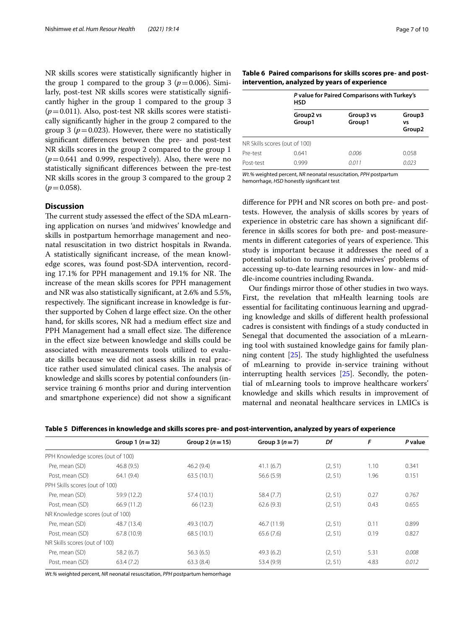NR skills scores were statistically signifcantly higher in the group 1 compared to the group 3 ( $p = 0.006$ ). Similarly, post-test NR skills scores were statistically signifcantly higher in the group 1 compared to the group 3  $(p=0.011)$ . Also, post-test NR skills scores were statistically signifcantly higher in the group 2 compared to the group 3 ( $p = 0.023$ ). However, there were no statistically signifcant diferences between the pre- and post-test NR skills scores in the group 2 compared to the group 1  $(p=0.641$  and 0.999, respectively). Also, there were no statistically signifcant diferences between the pre-test NR skills scores in the group 3 compared to the group 2  $(p=0.058)$ .

# **Discussion**

The current study assessed the effect of the SDA mLearning application on nurses 'and midwives' knowledge and skills in postpartum hemorrhage management and neonatal resuscitation in two district hospitals in Rwanda. A statistically signifcant increase, of the mean knowledge scores, was found post-SDA intervention, recording 17.1% for PPH management and 19.1% for NR. The increase of the mean skills scores for PPH management and NR was also statistically signifcant, at 2.6% and 5.5%, respectively. The significant increase in knowledge is further supported by Cohen d large efect size. On the other hand, for skills scores, NR had a medium efect size and PPH Management had a small effect size. The difference in the efect size between knowledge and skills could be associated with measurements tools utilized to evaluate skills because we did not assess skills in real practice rather used simulated clinical cases. The analysis of knowledge and skills scores by potential confounders (inservice training 6 months prior and during intervention and smartphone experience) did not show a signifcant

<span id="page-6-1"></span>

|                                               |  | Table 6 Paired comparisons for skills scores pre- and post- |
|-----------------------------------------------|--|-------------------------------------------------------------|
| intervention, analyzed by years of experience |  |                                                             |

|                               | <b>HSD</b>          | P value for Paired Comparisons with Turkey's |                                    |  |  |  |  |
|-------------------------------|---------------------|----------------------------------------------|------------------------------------|--|--|--|--|
|                               | Group2 vs<br>Group1 | Group3 vs<br>Group1                          | Group3<br>vs<br>Group <sub>2</sub> |  |  |  |  |
| NR Skills scores (out of 100) |                     |                                              |                                    |  |  |  |  |
| Pre-test                      | 0.641               | 0.006                                        | 0.058                              |  |  |  |  |
| Post-test                     | 0.999               | 0.011                                        | 0.023                              |  |  |  |  |

*Wt.%* weighted percent, *NR* neonatal resuscitation, *PPH* postpartum hemorrhage, *HSD* honestly signifcant test

diference for PPH and NR scores on both pre- and posttests. However, the analysis of skills scores by years of experience in obstetric care has shown a signifcant difference in skills scores for both pre- and post-measurements in different categories of years of experience. This study is important because it addresses the need of a potential solution to nurses and midwives' problems of accessing up-to-date learning resources in low- and middle-income countries including Rwanda.

Our fndings mirror those of other studies in two ways. First, the revelation that mHealth learning tools are essential for facilitating continuous learning and upgrading knowledge and skills of diferent health professional cadres is consistent with fndings of a study conducted in Senegal that documented the association of a mLearning tool with sustained knowledge gains for family planning content  $[25]$  $[25]$ . The study highlighted the usefulness of mLearning to provide in-service training without interrupting health services [\[25\]](#page-9-11). Secondly, the potential of mLearning tools to improve healthcare workers' knowledge and skills which results in improvement of maternal and neonatal healthcare services in LMICs is

<span id="page-6-0"></span>

|  |  | Table 5 Differences in knowledge and skills scores pre- and post-intervention, analyzed by years of experience |  |
|--|--|----------------------------------------------------------------------------------------------------------------|--|
|  |  |                                                                                                                |  |

|                                   | Group $1(n=32)$ | Group 2 ( $n = 15$ ) | Group $3(n=7)$ | Df      | F    | P value |
|-----------------------------------|-----------------|----------------------|----------------|---------|------|---------|
| PPH Knowledge scores (out of 100) |                 |                      |                |         |      |         |
| Pre, mean (SD)                    | 46.8(9.5)       | 46.2(9.4)            | 41.1(6.7)      | (2, 51) | 1.10 | 0.341   |
| Post, mean (SD)                   | 64.1(9.4)       | 63.5(10.1)           | 56.6(5.9)      | (2, 51) | 1.96 | 0.151   |
| PPH Skills scores (out of 100)    |                 |                      |                |         |      |         |
| Pre, mean (SD)                    | 59.9 (12.2)     | 57.4 (10.1)          | 58.4 (7.7)     | (2, 51) | 0.27 | 0.767   |
| Post, mean (SD)                   | 66.9 (11.2)     | 66 (12.3)            | 62.6(9.3)      | (2, 51) | 0.43 | 0.655   |
| NR Knowledge scores (out of 100)  |                 |                      |                |         |      |         |
| Pre, mean (SD)                    | 48.7 (13.4)     | 49.3 (10.7)          | 46.7 (11.9)    | (2, 51) | 0.11 | 0.899   |
| Post, mean (SD)                   | 67.8 (10.9)     | 68.5 (10.1)          | 65.6(7.6)      | (2, 51) | 0.19 | 0.827   |
| NR Skills scores (out of 100)     |                 |                      |                |         |      |         |
| Pre, mean (SD)                    | 58.2(6.7)       | 56.3(6.5)            | 49.3(6.2)      | (2, 51) | 5.31 | 0.008   |
| Post, mean (SD)                   | 63.4(7.2)       | 63.3(8.4)            | 53.4 (9.9)     | (2, 51) | 4.83 | 0.012   |

*Wt.%* weighted percent, *NR* neonatal resuscitation, *PPH* postpartum hemorrhage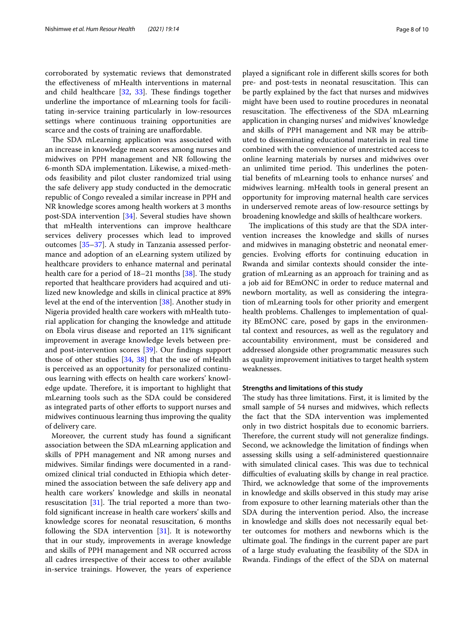corroborated by systematic reviews that demonstrated the efectiveness of mHealth interventions in maternal and child healthcare  $[32, 33]$  $[32, 33]$  $[32, 33]$  $[32, 33]$  $[32, 33]$ . These findings together underline the importance of mLearning tools for facilitating in-service training particularly in low-resources settings where continuous training opportunities are scarce and the costs of training are unaffordable.

The SDA mLearning application was associated with an increase in knowledge mean scores among nurses and midwives on PPH management and NR following the 6-month SDA implementation. Likewise, a mixed-methods feasibility and pilot cluster randomized trial using the safe delivery app study conducted in the democratic republic of Congo revealed a similar increase in PPH and NR knowledge scores among health workers at 3 months post-SDA intervention [\[34](#page-9-21)]. Several studies have shown that mHealth interventions can improve healthcare services delivery processes which lead to improved outcomes [[35–](#page-9-22)[37](#page-9-23)]. A study in Tanzania assessed performance and adoption of an eLearning system utilized by healthcare providers to enhance maternal and perinatal health care for a period of  $18-21$  months  $[38]$  $[38]$ . The study reported that healthcare providers had acquired and utilized new knowledge and skills in clinical practice at 89% level at the end of the intervention [\[38](#page-9-24)]. Another study in Nigeria provided health care workers with mHealth tutorial application for changing the knowledge and attitude on Ebola virus disease and reported an 11% signifcant improvement in average knowledge levels between preand post-intervention scores [[39\]](#page-9-25). Our fndings support those of other studies [[34,](#page-9-21) [38](#page-9-24)] that the use of mHealth is perceived as an opportunity for personalized continuous learning with efects on health care workers' knowledge update. Therefore, it is important to highlight that mLearning tools such as the SDA could be considered as integrated parts of other efforts to support nurses and midwives continuous learning thus improving the quality of delivery care.

Moreover, the current study has found a signifcant association between the SDA mLearning application and skills of PPH management and NR among nurses and midwives. Similar fndings were documented in a randomized clinical trial conducted in Ethiopia which determined the association between the safe delivery app and health care workers' knowledge and skills in neonatal resuscitation  $[31]$  $[31]$ . The trial reported a more than twofold signifcant increase in health care workers' skills and knowledge scores for neonatal resuscitation, 6 months following the SDA intervention [\[31](#page-9-18)]. It is noteworthy that in our study, improvements in average knowledge and skills of PPH management and NR occurred across all cadres irrespective of their access to other available in-service trainings. However, the years of experience played a signifcant role in diferent skills scores for both pre- and post-tests in neonatal resuscitation. This can be partly explained by the fact that nurses and midwives might have been used to routine procedures in neonatal resuscitation. The effectiveness of the SDA mLearning application in changing nurses' and midwives' knowledge and skills of PPH management and NR may be attributed to disseminating educational materials in real time combined with the convenience of unrestricted access to online learning materials by nurses and midwives over an unlimited time period. This underlines the potential benefts of mLearning tools to enhance nurses' and midwives learning. mHealth tools in general present an opportunity for improving maternal health care services

broadening knowledge and skills of healthcare workers. The implications of this study are that the SDA intervention increases the knowledge and skills of nurses and midwives in managing obstetric and neonatal emergencies. Evolving efforts for continuing education in Rwanda and similar contexts should consider the integration of mLearning as an approach for training and as a job aid for BEmONC in order to reduce maternal and newborn mortality, as well as considering the integration of mLearning tools for other priority and emergent health problems. Challenges to implementation of quality BEmONC care, posed by gaps in the environmental context and resources, as well as the regulatory and accountability environment, must be considered and addressed alongside other programmatic measures such as quality improvement initiatives to target health system weaknesses.

in underserved remote areas of low-resource settings by

#### **Strengths and limitations of this study**

The study has three limitations. First, it is limited by the small sample of 54 nurses and midwives, which refects the fact that the SDA intervention was implemented only in two district hospitals due to economic barriers. Therefore, the current study will not generalize findings. Second, we acknowledge the limitation of fndings when assessing skills using a self-administered questionnaire with simulated clinical cases. This was due to technical difficulties of evaluating skills by change in real practice. Third, we acknowledge that some of the improvements in knowledge and skills observed in this study may arise from exposure to other learning materials other than the SDA during the intervention period. Also, the increase in knowledge and skills does not necessarily equal better outcomes for mothers and newborns which is the ultimate goal. The findings in the current paper are part of a large study evaluating the feasibility of the SDA in Rwanda. Findings of the efect of the SDA on maternal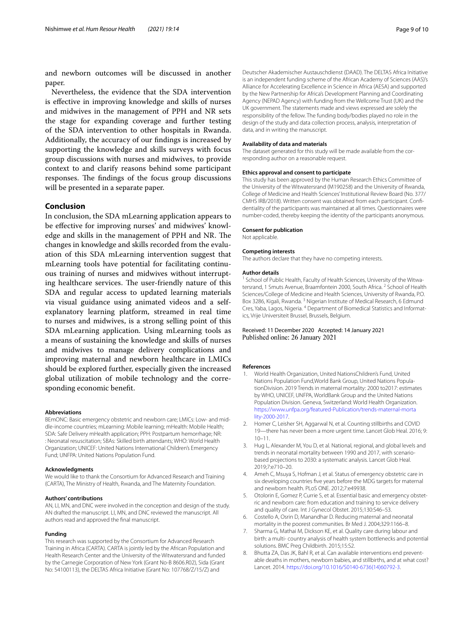and newborn outcomes will be discussed in another paper.

Nevertheless, the evidence that the SDA intervention is efective in improving knowledge and skills of nurses and midwives in the management of PPH and NR sets the stage for expanding coverage and further testing of the SDA intervention to other hospitals in Rwanda. Additionally, the accuracy of our fndings is increased by supporting the knowledge and skills surveys with focus group discussions with nurses and midwives, to provide context to and clarify reasons behind some participant responses. The findings of the focus group discussions will be presented in a separate paper.

# **Conclusion**

In conclusion, the SDA mLearning application appears to be efective for improving nurses' and midwives' knowledge and skills in the management of PPH and NR. The changes in knowledge and skills recorded from the evaluation of this SDA mLearning intervention suggest that mLearning tools have potential for facilitating continuous training of nurses and midwives without interrupting healthcare services. The user-friendly nature of this SDA and regular access to updated learning materials via visual guidance using animated videos and a selfexplanatory learning platform, streamed in real time to nurses and midwives, is a strong selling point of this SDA mLearning application. Using mLearning tools as a means of sustaining the knowledge and skills of nurses and midwives to manage delivery complications and improving maternal and newborn healthcare in LMICs should be explored further, especially given the increased global utilization of mobile technology and the corresponding economic beneft.

#### **Abbreviations**

BEmONC: Basic emergency obstetric and newborn care; LMICs: Low- and middle-income countries; mLearning: Mobile learning; mHealth: Mobile Health; SDA: Safe Delivery mHealth application; PPH: Postpartum hemorrhage; NR: : Neonatal resuscitation; SBAs: Skilled birth attendants; WHO: World Health Organization; UNICEF: United Nations International Children's Emergency Fund; UNFPA: United Nations Population Fund.

#### **Acknowledgments**

We would like to thank the Consortium for Advanced Research and Training (CARTA), The Ministry of Health, Rwanda, and The Maternity Foundation.

#### **Authors' contributions**

AN, LI, MN, and DNC were involved in the conception and design of the study. AN drafted the manuscript. LI, MN, and DNC reviewed the manuscript. All authors read and approved the fnal manuscript.

#### **Funding**

This research was supported by the Consortium for Advanced Research Training in Africa (CARTA). CARTA is jointly led by the African Population and Health Research Center and the University of the Witwatersrand and funded by the Carnegie Corporation of New York (Grant No-B 8606.R02), Sida (Grant No: 54100113), the DELTAS Africa Initiative (Grant No: 107768/Z/15/Z) and

Deutscher Akademischer Austauschdienst (DAAD). The DELTAS Africa Initiative is an independent funding scheme of the African Academy of Sciences (AAS)'s Alliance for Accelerating Excellence in Science in Africa (AESA) and supported by the New Partnership for Africa's Development Planning and Coordinating Agency (NEPAD Agency) with funding from the Wellcome Trust (UK) and the UK government. The statements made and views expressed are solely the responsibility of the fellow. The funding body/bodies played no role in the design of the study and data collection process, analysis, interpretation of data, and in writing the manuscript.

#### **Availability of data and materials**

The dataset generated for this study will be made available from the corresponding author on a reasonable request.

#### **Ethics approval and consent to participate**

This study has been approved by the Human Research Ethics Committee of the University of the Witwatersrand (M190258) and the University of Rwanda, College of Medicine and Health Sciences' Institutional Review Board (No. 377/ CMHS IRB/2018). Written consent was obtained from each participant. Confdentiality of the participants was maintained at all times. Questionnaires were number-coded, thereby keeping the identity of the participants anonymous.

#### **Consent for publication**

Not applicable.

#### **Competing interests**

The authors declare that they have no competing interests.

#### **Author details**

<sup>1</sup> School of Public Health, Faculty of Health Sciences, University of the Witwatersrand, 1 Smuts Avenue, Braamfontein 2000, South Africa.<sup>2</sup> School of Health Sciences/College of Medicine and Health Sciences, University of Rwanda, P.O. Box 3286, Kigali, Rwanda.<sup>3</sup> Nigerian Institute of Medical Research, 6 Edmund Cres, Yaba, Lagos, Nigeria. 4 Department of Biomedical Statistics and Informatics, Vrije Universiteit Brussel, Brussels, Belgium.

# Received: 11 December 2020 Accepted: 14 January 2021

#### **References**

- <span id="page-8-0"></span>1. World Health Organization, United NationsChildren's Fund, United Nations Population Fund,World Bank Group, United Nations PopulationDivision. 2019 Trends in maternal mortality: 2000 to2017: estimates by WHO, UNICEF, UNFPA, WorldBank Group and the United Nations Population Division. Geneva, Switzerland: World Health Organization. [https://www.unfpa.org/featured-Publication/trends-maternal-morta](https://www.unfpa.org/featured-Publication/trends-maternal-mortality-2000-2017) [lity-2000-2017](https://www.unfpa.org/featured-Publication/trends-maternal-mortality-2000-2017).
- <span id="page-8-1"></span>2. Homer C, Leisher SH, Aggarwal N, et al. Counting stillbirths and COVID 19—there has never been a more urgent time. Lancet Glob Heal. 2016; 9: 10–11.
- <span id="page-8-2"></span>3. Hug L, Alexander M, You D, et al. National, regional, and global levels and trends in neonatal mortality between 1990 and 2017, with scenariobased projections to 2030: a systematic analysis. Lancet Glob Heal. 2019;7:e710–20.
- <span id="page-8-3"></span>4. Ameh C, Msuya S, Hofman J, et al. Status of emergency obstetric care in six developing countries fve years before the MDG targets for maternal and newborn health. PLoS ONE. 2012;7:e49938.
- <span id="page-8-4"></span>5. Otolorin E, Gomez P, Currie S, et al. Essential basic and emergency obstetric and newborn care: from education and training to service delivery and quality of care. Int J Gynecol Obstet. 2015;130:S46–53.
- 6. Costello A, Osrin D, Manandhar D. Reducing maternal and neonatal mortality in the poorest communities. Br Med J. 2004;329:1166–8.
- 7. Sharma G, Mathai M, Dickson KE, et al. Quality care during labour and birth: a multi- country analysis of health system bottlenecks and potential solutions. BMC Preg Childbirth. 2015;15:S2.
- <span id="page-8-5"></span>8. Bhutta ZA, Das JK, Bahl R, et al. Can available interventions end preventable deaths in mothers, newborn babies, and stillbirths, and at what cost? Lancet. 2014. [https://doi.org/10.1016/S0140-6736\(14\)60792-3.](https://doi.org/10.1016/S0140-6736(14)60792-3)